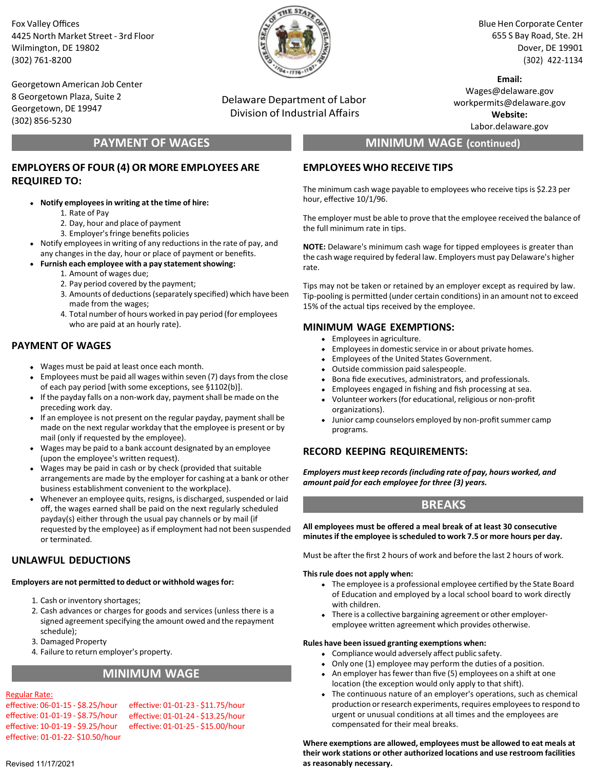Fox Valley Offices 4425 North Market Street - 3rd Floor Wilmington, DE 19802 (302) 761-8200

Georgetown American Job Center 8 Georgetown Plaza, Suite 2 Georgetown, DE 19947 (302) 856-5230

## **PAYMENT OF WAGES**

## **EMPLOYERS OF FOUR (4) OR MORE EMPLOYEES ARE REQUIRED TO:**

- **Notify employeesin writing at the time of hire:**
	- 1. Rate of Pay
	- 2. Day, hour and place of payment
	- 3. Employer'sfringe benefits policies
- Notify employees in writing of any reductions in the rate of pay, and any changes in the day, hour or place of payment or benefits.
- **Furnish each employee with a pay statementshowing:**
	- 1. Amount of wages due;
	- 2. Pay period covered by the payment;
	- 3. Amounts of deductions(separately specified) which have been made from the wages;
	- 4. Total number of hours worked in pay period (for employees who are paid at an hourly rate).

## **PAYMENT OF WAGES**

- Wages must be paid at least once each month.
- Employees must be paid all wages within seven (7) daysfrom the close of each pay period [with some exceptions, see §1102(b)].
- $\bullet$  If the payday falls on a non-work day, payment shall be made on the preceding work day.
- If an employee is not present on the regular payday, payment shall be made on the next regular workday that the employee is present or by mail (only if requested by the employee).
- Wages may be paid to a bank account designated by an employee  $\bullet$ (upon the employee's written request).
- Wages may be paid in cash or by check (provided that suitable arrangements are made by the employer for cashing at a bank or other business establishment convenient to the workplace).
- Whenever an employee quits, resigns, is discharged, suspended or laid off, the wages earned shall be paid on the next regularly scheduled payday(s) either through the usual pay channels or by mail (if requested by the employee) as if employment had not been suspended or terminated.

## **UNLAWFUL DEDUCTIONS**

**Employers are not permitted to deduct or withhold wagesfor:**

- 1. Cash or inventory shortages;
- 2. Cash advances or charges for goods and services (unless there is a signed agreement specifying the amount owed and the repayment schedule);
- 3. Damaged Property
- 4. Failure to return employer's property.

## **MINIMUM WAGE**

### Regular Rate:

effective: 06-01-15 - \$8.25/hour effective: 01-01-19 - \$8.75/hour effective: 10-01-19 - \$9.25/hour effective: 01-01-22- \$10.50/hour effective: 01-01-23 - \$11.75/hour effective: 01-01-24 - \$13.25/hour effective: 01-01-25 - \$15.00/hour

Delaware Department of Labor Division of Industrial Affairs

Blue Hen Corporate Center 655 S Bay Road, Ste. 2H Dover, DE 19901 (302) 422-1134

**Email:** Wages@delaware.gov workpermits@delaware.gov **Website:**

Labor.delaware.gov

# **MINIMUM WAGE (continued)**

### **EMPLOYEES WHO RECEIVE TIPS**

The minimum cash wage payable to employees who receive tips is \$2.23 per hour, effective 10/1/96.

The employer must be able to prove that the employee received the balance of the full minimum rate in tips.

**NOTE:** Delaware's minimum cash wage for tipped employees is greater than the cash wage required by federal law. Employers must pay Delaware's higher rate.

Tips may not be taken or retained by an employer except as required by law. Tip-pooling is permitted (under certain conditions) in an amount not to exceed 15% of the actual tips received by the employee.

### **MINIMUM WAGE EXEMPTIONS:**

- Employees in agriculture.
- Employees in domestic service in or about private homes.
- Employees of the United States Government.
- Outside commission paid salespeople.
- Bona fide executives, administrators, and professionals.
- Employees engaged in fishing and fish processing at sea.
- Volunteer workers(for educational, religious or non-profit organizations).
- Junior camp counselors employed by non-profit summer camp programs.

### **RECORD KEEPING REQUIREMENTS:**

*Employers must keep records(including rate of pay, hours worked, and amount paid for each employee for three (3) years.*

## **BREAKS**

**All employees must be offered a meal break of at least 30 consecutive minutesif the employee isscheduled to work 7.5 or more hours per day.**

Must be after the first 2 hours of work and before the last 2 hours of work.

#### **This rule does not apply when:**

- The employee is a professional employee certified by the State Board of Education and employed by a local school board to work directly with children.
- There is a collective bargaining agreement or other employeremployee written agreement which provides otherwise.

#### **Rules have been issued granting exemptions when:**

- Compliance would adversely affect public safety.
- Only one (1) employee may perform the duties of a position.
- An employer has fewer than five (5) employees on a shift at one location (the exception would only apply to that shift).
- The continuous nature of an employer's operations, such as chemical production or research experiments, requires employees to respond to urgent or unusual conditions at all times and the employees are compensated for their meal breaks.

**Where exemptions are allowed, employees must be allowed to eat meals at their work stations or other authorized locations and use restroom facilities as reasonably necessary.**